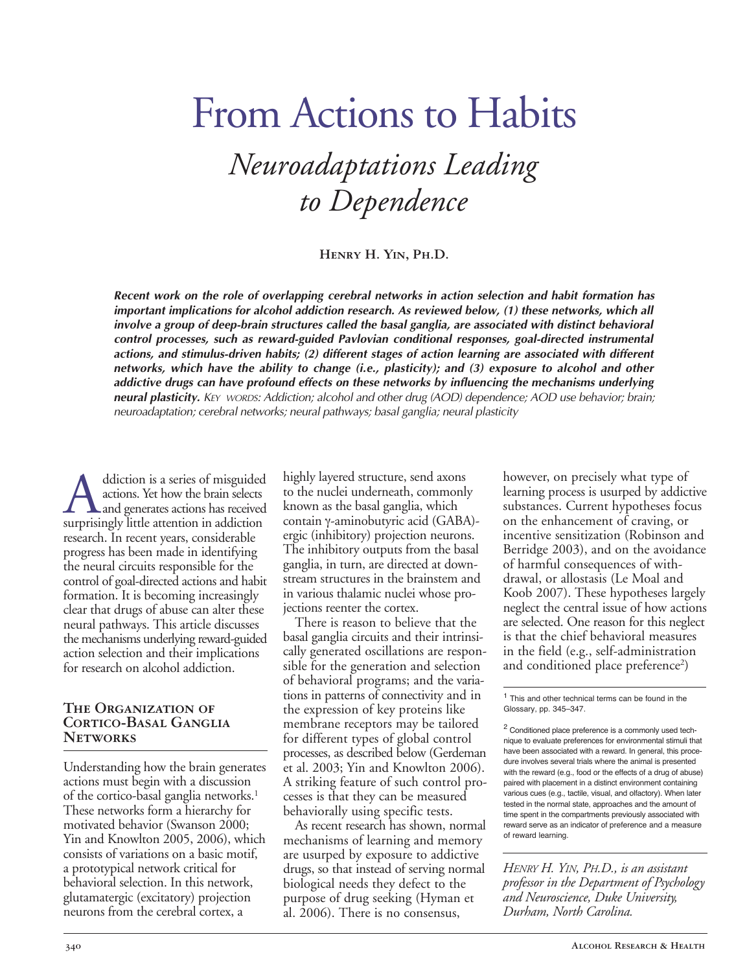# From Actions to Habits *Neuroadaptations Leading to Dependence*

**Henry H. Yin, Ph.D.**

*Recent work on the role of overlapping cerebral networks in action selection and habit formation has important implications for alcohol addiction research. As reviewed below, (1) these networks, which all involve* a group of *deep-brain* structures called the basal ganglia, are associated with distinct behavioral  $control$  *processes, such* as *reward-guided Pavlovian conditional responses, goal-directed instrumental actions, and stimulusdriven habits; (2) different stages of action learning are associated with different networks, which have the ability to change (i.e., plasticity); and (3) exposure to alcohol and other addictive drugs can have profound effects on these networks by influencing the mechanisms underlying neural plasticity. KEY WORDS: Addiction; alcohol and other drug (AOD) dependence; AOD use behavior; brain; neuroadaptation; cerebral networks; neural pathways; basal ganglia; neural plasticity*

Addiction is a series of misguided<br>actions. Yet how the brain selects<br>surprisingly little attention in addiction actions. Yet how the brain selects **L** and generates actions has received research. In recent years, considerable progress has been made in identifying the neural circuits responsible for the control of goal-directed actions and habit formation. It is becoming increasingly clear that drugs of abuse can alter these neural pathways. This article discusses the mechanisms underlying reward-guided action selection and their implications for research on alcohol addiction.

#### **The Organization of CORTICO-BASAL GANGLIA Networks**

Understanding how the brain generates actions must begin with a discussion of the cortico-basal ganglia networks.<sup>1</sup> These networks form a hierarchy for motivated behavior (Swanson 2000; Yin and Knowlton 2005, 2006), which consists of variations on a basic motif, a prototypical network critical for behavioral selection. In this network, glutamatergic (excitatory) projection neurons from the cerebral cortex, a

highly layered structure, send axons to the nuclei underneath, commonly known as the basal ganglia, which contain γ-aminobutyric acid (GABA)ergic (inhibitory) projection neurons. The inhibitory outputs from the basal ganglia, in turn, are directed at downstream structures in the brainstem and in various thalamic nuclei whose projections reenter the cortex.

There is reason to believe that the basal ganglia circuits and their intrinsically generated oscillations are responsible for the generation and selection of behavioral programs; and the variations in patterns of connectivity and in the expression of key proteins like membrane receptors may be tailored for different types of global control processes, as described below (Gerdeman et al. 2003; Yin and Knowlton 2006). A striking feature of such control processes is that they can be measured behaviorally using specific tests.

As recent research has shown, normal mechanisms of learning and memory are usurped by exposure to addictive drugs, so that instead of serving normal biological needs they defect to the purpose of drug seeking (Hyman et al. 2006). There is no consensus,

however, on precisely what type of learning process is usurped by addictive substances. Current hypotheses focus on the enhancement of craving, or incentive sensitization (Robinson and Berridge 2003), and on the avoidance of harmful consequences of withdrawal, or allostasis (Le Moal and Koob 2007). These hypotheses largely neglect the central issue of how actions are selected. One reason for this neglect is that the chief behavioral measures in the field (e.g., self-administration and conditioned place preference<sup>2</sup>)

<sup>1</sup> This and other technical terms can be found in the Glossary, pp. 345–347.

*HENRY H. YIN, PH.D., is an assistant professor in the Department of Psychology and Neuroscience, Duke University, Durham, North Carolina.*

<sup>2</sup> Conditioned place preference is a commonly used technique to evaluate preferences for environmental stimuli that have been associated with a reward. In general, this procedure involves several trials where the animal is presented with the reward (e.g., food or the effects of a drug of abuse) paired with placement in a distinct environment containing various cues (e.g., tactile, visual, and olfactory). When later tested in the normal state, approaches and the amount of time spent in the compartments previously associated with reward serve as an indicator of preference and a measure of reward learning.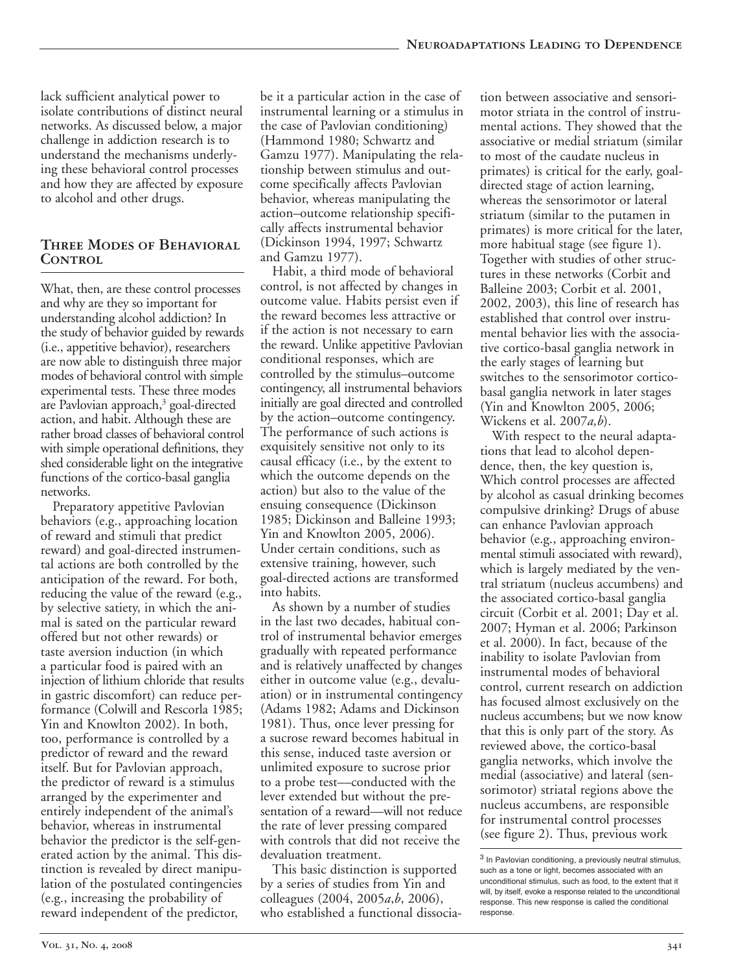lack sufficient analytical power to isolate contributions of distinct neural networks. As discussed below, a major challenge in addiction research is to understand the mechanisms underlying these behavioral control processes and how they are affected by exposure to alcohol and other drugs.

## **Three Modes of Behavioral** CONTROL

What, then, are these control processes and why are they so important for understanding alcohol addiction? In the study of behavior guided by rewards (i.e., appetitive behavior), researchers are now able to distinguish three major modes of behavioral control with simple experimental tests. These three modes are Pavlovian approach, $3$  goal-directed action, and habit. Although these are rather broad classes of behavioral control with simple operational definitions, they shed considerable light on the integrative functions of the cortico-basal ganglia networks.

Preparatory appetitive Pavlovian behaviors (e.g., approaching location of reward and stimuli that predict reward) and goal-directed instrumental actions are both controlled by the anticipation of the reward. For both, reducing the value of the reward (e.g., by selective satiety, in which the animal is sated on the particular reward offered but not other rewards) or taste aversion induction (in which a particular food is paired with an injection of lithium chloride that results in gastric discomfort) can reduce performance (Colwill and Rescorla 1985; Yin and Knowlton 2002). In both, too, performance is controlled by a predictor of reward and the reward itself. But for Pavlovian approach, the predictor of reward is a stimulus arranged by the experimenter and entirely independent of the animal's behavior, whereas in instrumental behavior the predictor is the self-generated action by the animal. This distinction is revealed by direct manipulation of the postulated contingencies (e.g., increasing the probability of reward independent of the predictor,

be it a particular action in the case of instrumental learning or a stimulus in the case of Pavlovian conditioning) (Hammond 1980; Schwartz and Gamzu 1977). Manipulating the relationship between stimulus and outcome specifically affects Pavlovian behavior, whereas manipulating the action–outcome relationship specifically affects instrumental behavior (Dickinson 1994, 1997; Schwartz and Gamzu 1977).

Habit, a third mode of behavioral control, is not affected by changes in outcome value. Habits persist even if the reward becomes less attractive or if the action is not necessary to earn the reward. Unlike appetitive Pavlovian conditional responses, which are controlled by the stimulus–outcome contingency, all instrumental behaviors initially are goal directed and controlled by the action–outcome contingency. The performance of such actions is exquisitely sensitive not only to its causal efficacy (i.e., by the extent to which the outcome depends on the action) but also to the value of the ensuing consequence (Dickinson 1985; Dickinson and Balleine 1993; Yin and Knowlton 2005, 2006). Under certain conditions, such as extensive training, however, such goal-directed actions are transformed into habits.

As shown by a number of studies in the last two decades, habitual control of instrumental behavior emerges gradually with repeated performance and is relatively unaffected by changes either in outcome value (e.g., devaluation) or in instrumental contingency (Adams 1982; Adams and Dickinson 1981). Thus, once lever pressing for a sucrose reward becomes habitual in this sense, induced taste aversion or unlimited exposure to sucrose prior to a probe test––conducted with the lever extended but without the presentation of a reward––will not reduce the rate of lever pressing compared with controls that did not receive the devaluation treatment.

This basic distinction is supported by a series of studies from Yin and colleagues (2004, 2005*a*,*b*, 2006), who established a functional dissociation between associative and sensorimotor striata in the control of instrumental actions. They showed that the associative or medial striatum (similar to most of the caudate nucleus in primates) is critical for the early, goaldirected stage of action learning, whereas the sensorimotor or lateral striatum (similar to the putamen in primates) is more critical for the later, more habitual stage (see figure 1). Together with studies of other structures in these networks (Corbit and Balleine 2003; Corbit et al. 2001, 2002, 2003), this line of research has established that control over instrumental behavior lies with the associative cortico-basal ganglia network in the early stages of learning but switches to the sensorimotor corticobasal ganglia network in later stages (Yin and Knowlton 2005, 2006; Wickens et al. 2007*a,b*).

With respect to the neural adaptations that lead to alcohol dependence, then, the key question is, Which control processes are affected by alcohol as casual drinking becomes compulsive drinking? Drugs of abuse can enhance Pavlovian approach behavior (e.g., approaching environmental stimuli associated with reward), which is largely mediated by the ventral striatum (nucleus accumbens) and the associated cortico-basal ganglia circuit (Corbit et al. 2001; Day et al. 2007; Hyman et al. 2006; Parkinson et al. 2000). In fact, because of the inability to isolate Pavlovian from instrumental modes of behavioral control, current research on addiction has focused almost exclusively on the nucleus accumbens; but we now know that this is only part of the story. As reviewed above, the cortico-basal ganglia networks, which involve the medial (associative) and lateral (sensorimotor) striatal regions above the nucleus accumbens, are responsible for instrumental control processes (see figure 2). Thus, previous work

 $3$  In Pavlovian conditioning, a previously neutral stimulus, such as a tone or light, becomes associated with an unconditional stimulus, such as food, to the extent that it will, by itself, evoke a response related to the unconditional response. This new response is called the conditional response.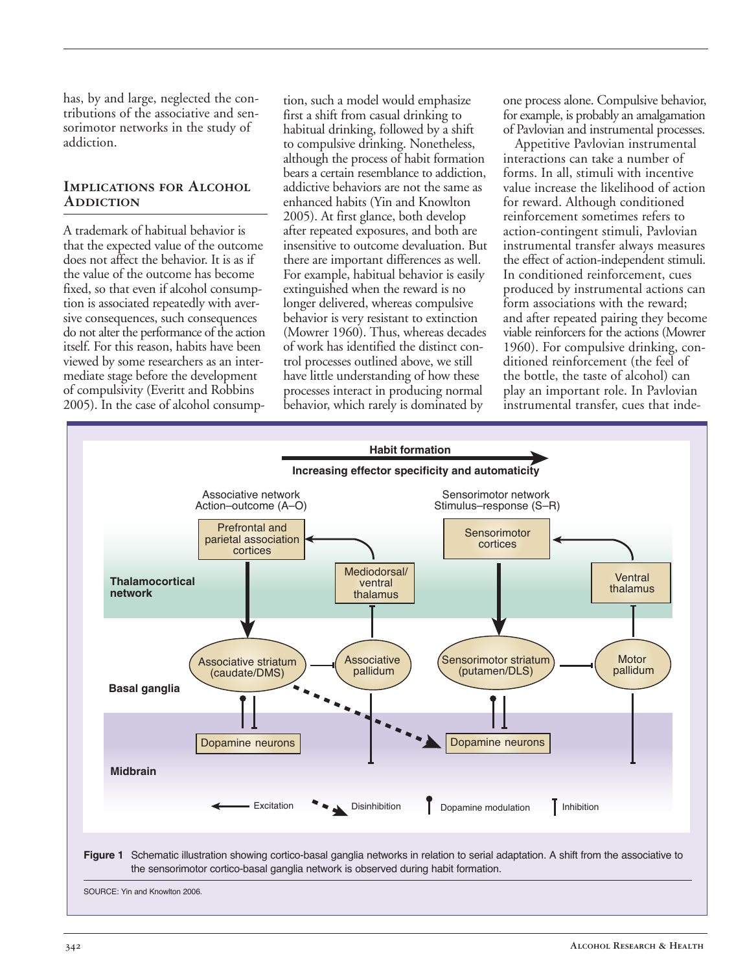has, by and large, neglected the contributions of the associative and sensorimotor networks in the study of addiction.

### **Implications for Alcohol Addiction**

A trademark of habitual behavior is that the expected value of the outcome does not affect the behavior. It is as if the value of the outcome has become fixed, so that even if alcohol consumption is associated repeatedly with aversive consequences, such consequences do not alter the performance of the action itself. For this reason, habits have been viewed by some researchers as an intermediate stage before the development of compulsivity (Everitt and Robbins 2005). In the case of alcohol consumption, such a model would emphasize first a shift from casual drinking to habitual drinking, followed by a shift to compulsive drinking. Nonetheless, although the process of habit formation bears a certain resemblance to addiction, addictive behaviors are not the same as enhanced habits (Yin and Knowlton 2005). At first glance, both develop after repeated exposures, and both are insensitive to outcome devaluation. But there are important differences as well. For example, habitual behavior is easily extinguished when the reward is no longer delivered, whereas compulsive behavior is very resistant to extinction (Mowrer 1960). Thus, whereas decades of work has identified the distinct control processes outlined above, we still have little understanding of how these processes interact in producing normal behavior, which rarely is dominated by

one process alone. Compulsive behavior, for example, is probably an amalgamation of Pavlovian and instrumental processes.

Appetitive Pavlovian instrumental interactions can take a number of forms. In all, stimuli with incentive value increase the likelihood of action for reward. Although conditioned reinforcement sometimes refers to action-contingent stimuli, Pavlovian instrumental transfer always measures the effect of action-independent stimuli. In conditioned reinforcement, cues produced by instrumental actions can form associations with the reward; and after repeated pairing they become viable reinforcers for the actions (Mowrer 1960). For compulsive drinking, conditioned reinforcement (the feel of the bottle, the taste of alcohol) can play an important role. In Pavlovian instrumental transfer, cues that inde-

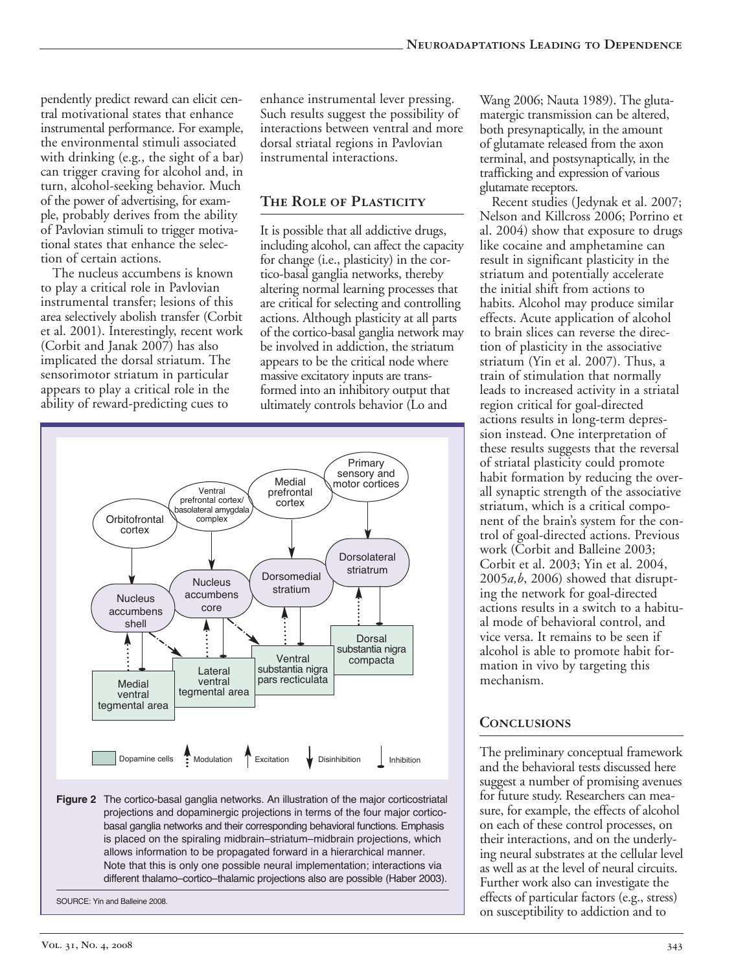pendently predict reward can elicit central motivational states that enhance instrumental performance. For example, the environmental stimuli associated with drinking (e.g., the sight of a bar) can trigger craving for alcohol and, in turn, alcohol-seeking behavior. Much of the power of advertising, for example, probably derives from the ability of Pavlovian stimuli to trigger motivational states that enhance the selection of certain actions.

The nucleus accumbens is known to play a critical role in Pavlovian instrumental transfer; lesions of this area selectively abolish transfer (Corbit et al. 2001). Interestingly, recent work (Corbit and Janak 2007) has also implicated the dorsal striatum. The sensorimotor striatum in particular appears to play a critical role in the ability of reward-predicting cues to

enhance instrumental lever pressing. Such results suggest the possibility of interactions between ventral and more dorsal striatal regions in Pavlovian instrumental interactions.

## **The Role of Plasticity**

It is possible that all addictive drugs, including alcohol, can affect the capacity for change (i.e., plasticity) in the cortico-basal ganglia networks, thereby altering normal learning processes that are critical for selecting and controlling actions. Although plasticity at all parts of the cortico-basal ganglia network may be involved in addiction, the striatum appears to be the critical node where massive excitatory inputs are transformed into an inhibitory output that ultimately controls behavior (Lo and



Note that this is only one possible neural implementation; interactions via different thalamo–cortico–thalamic projections also are possible (Haber 2003).

SOURCE: Yin and Balleine 2008.

Wang 2006; Nauta 1989). The glutamatergic transmission can be altered, both presynaptically, in the amount of glutamate released from the axon terminal, and postsynaptically, in the trafficking and expression of various glutamate receptors.

Recent studies (Jedynak et al. 2007; Nelson and Killcross 2006; Porrino et al. 2004) show that exposure to drugs like cocaine and amphetamine can result in significant plasticity in the striatum and potentially accelerate the initial shift from actions to habits. Alcohol may produce similar effects. Acute application of alcohol to brain slices can reverse the direction of plasticity in the associative striatum (Yin et al. 2007). Thus, a train of stimulation that normally leads to increased activity in a striatal region critical for goal-directed actions results in long-term depression instead. One interpretation of these results suggests that the reversal of striatal plasticity could promote habit formation by reducing the overall synaptic strength of the associative striatum, which is a critical component of the brain's system for the control of goal-directed actions. Previous work (Corbit and Balleine 2003; Corbit et al. 2003; Yin et al. 2004, 2005*a,b*, 2006) showed that disrupting the network for goal-directed actions results in a switch to a habitual mode of behavioral control, and vice versa. It remains to be seen if alcohol is able to promote habit formation in vivo by targeting this mechanism.

# **Conclusions**

The preliminary conceptual framework and the behavioral tests discussed here suggest a number of promising avenues for future study. Researchers can measure, for example, the effects of alcohol on each of these control processes, on their interactions, and on the underlying neural substrates at the cellular level as well as at the level of neural circuits. Further work also can investigate the effects of particular factors (e.g., stress) on susceptibility to addiction and to